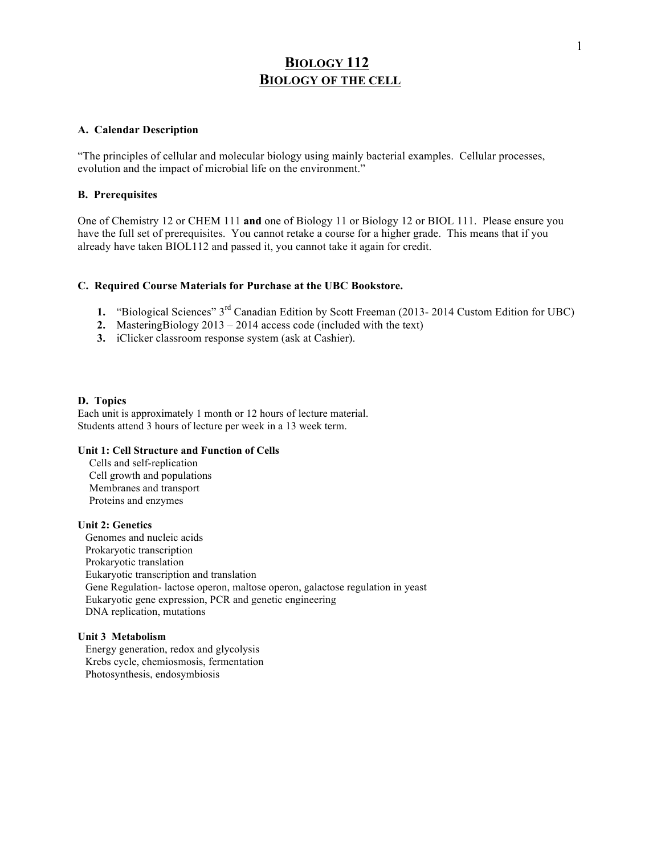# **BIOLOGY 112 BIOLOGY OF THE CELL**

#### **A. Calendar Description**

"The principles of cellular and molecular biology using mainly bacterial examples. Cellular processes, evolution and the impact of microbial life on the environment."

## **B. Prerequisites**

One of Chemistry 12 or CHEM 111 **and** one of Biology 11 or Biology 12 or BIOL 111. Please ensure you have the full set of prerequisites. You cannot retake a course for a higher grade. This means that if you already have taken BIOL112 and passed it, you cannot take it again for credit.

#### **C. Required Course Materials for Purchase at the UBC Bookstore.**

- **1.** "Biological Sciences" 3rd Canadian Edition by Scott Freeman (2013- 2014 Custom Edition for UBC)
- **2.** MasteringBiology 2013 2014 access code (included with the text)
- **3.** iClicker classroom response system (ask at Cashier).

#### **D. Topics**

Each unit is approximately 1 month or 12 hours of lecture material. Students attend 3 hours of lecture per week in a 13 week term.

## **Unit 1: Cell Structure and Function of Cells**

Cells and self-replication Cell growth and populations Membranes and transport Proteins and enzymes

## **Unit 2: Genetics**

Genomes and nucleic acids Prokaryotic transcription Prokaryotic translation Eukaryotic transcription and translation Gene Regulation- lactose operon, maltose operon, galactose regulation in yeast Eukaryotic gene expression, PCR and genetic engineering DNA replication, mutations

#### **Unit 3 Metabolism**

Energy generation, redox and glycolysis Krebs cycle, chemiosmosis, fermentation Photosynthesis, endosymbiosis